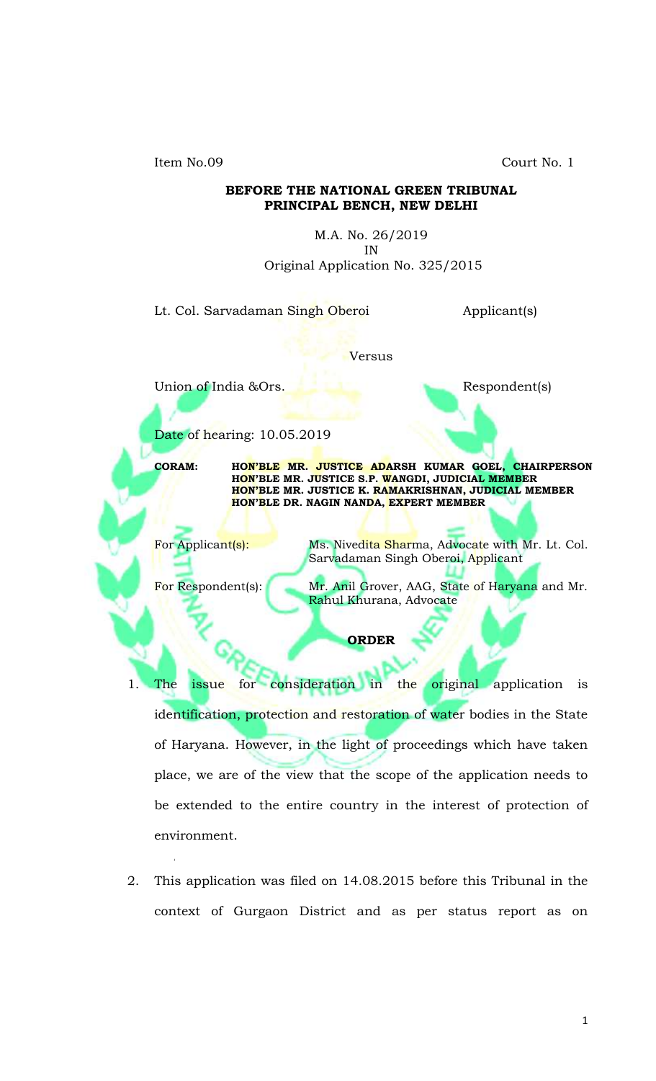Item No.09 Court No. 1

## **BEFORE THE NATIONAL GREEN TRIBUNAL PRINCIPAL BENCH, NEW DELHI**

M.A. No. 26/2019 IN Original Application No. 325/2015

Lt. Col. Sarvadaman Singh Oberoi Applicant(s)

Versus

Union of India &Ors. Respondent(s)

Date of hearing: 10.05.2019

'

**CORAM: HON'BLE MR. JUSTICE ADARSH KUMAR GOEL, CHAIRPERSON HON'BLE MR. JUSTICE S.P. WANGDI, JUDICIAL MEMBER HON'BLE MR. JUSTICE K. RAMAKRISHNAN, JUDICIAL MEMBER HON'BLE DR. NAGIN NANDA, EXPERT MEMBER**

For Applicant(s): Ms. Nivedita Sharma, Advocate with Mr. Lt. Col. Sarvadaman Singh Oberoi, Applicant

For Respondent(s): Mr. Anil Grover, AAG, State of Haryana and Mr. Rahul Khurana, Advocate

**ORDER**

- 1. The issue for consideration in the original application is identification, protection and restoration of water bodies in the State of Haryana. However, in the light of proceedings which have taken place, we are of the view that the scope of the application needs to be extended to the entire country in the interest of protection of environment.
- 2. This application was filed on 14.08.2015 before this Tribunal in the context of Gurgaon District and as per status report as on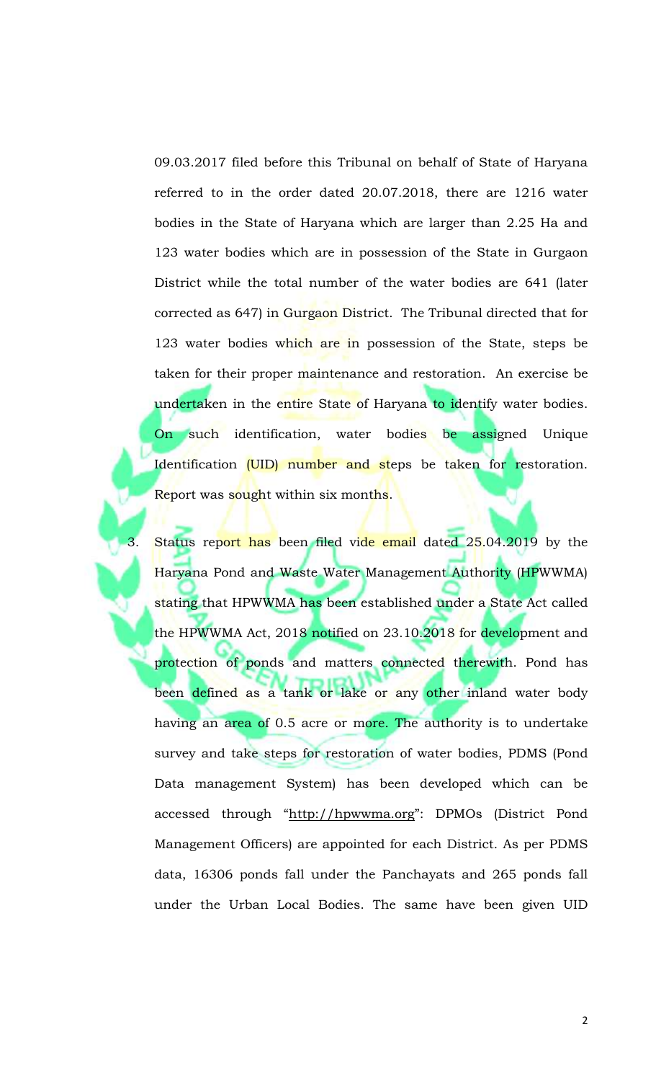09.03.2017 filed before this Tribunal on behalf of State of Haryana referred to in the order dated 20.07.2018, there are 1216 water bodies in the State of Haryana which are larger than 2.25 Ha and 123 water bodies which are in possession of the State in Gurgaon District while the total number of the water bodies are 641 (later corrected as 647) in Gurgaon District. The Tribunal directed that for 123 water bodies which are in possession of the State, steps be taken for their proper maintenance and restoration. An exercise be undertaken in the entire State of Haryana to identify water bodies. On such identification, water bodies be assigned Unique Identification (UID) number and steps be taken for restoration. Report was sought within six months.

Status report has been filed vide email dated 25.04.2019 by the Haryana Pond and Waste Water Management Authority (HPWWMA) stating that HPWWMA has been established under a State Act called the HPWWMA Act, 2018 notified on 23.10.2018 for development and protection of ponds and matters connected therewith. Pond has been defined as a tank or lake or any other inland water body having an area of 0.5 acre or more. The authority is to undertake survey and take steps for restoration of water bodies, PDMS (Pond Data management System) has been developed which can be accessed through "[http://hpwwma.org](http://hpwwma.org/)": DPMOs (District Pond Management Officers) are appointed for each District. As per PDMS data, 16306 ponds fall under the Panchayats and 265 ponds fall under the Urban Local Bodies. The same have been given UID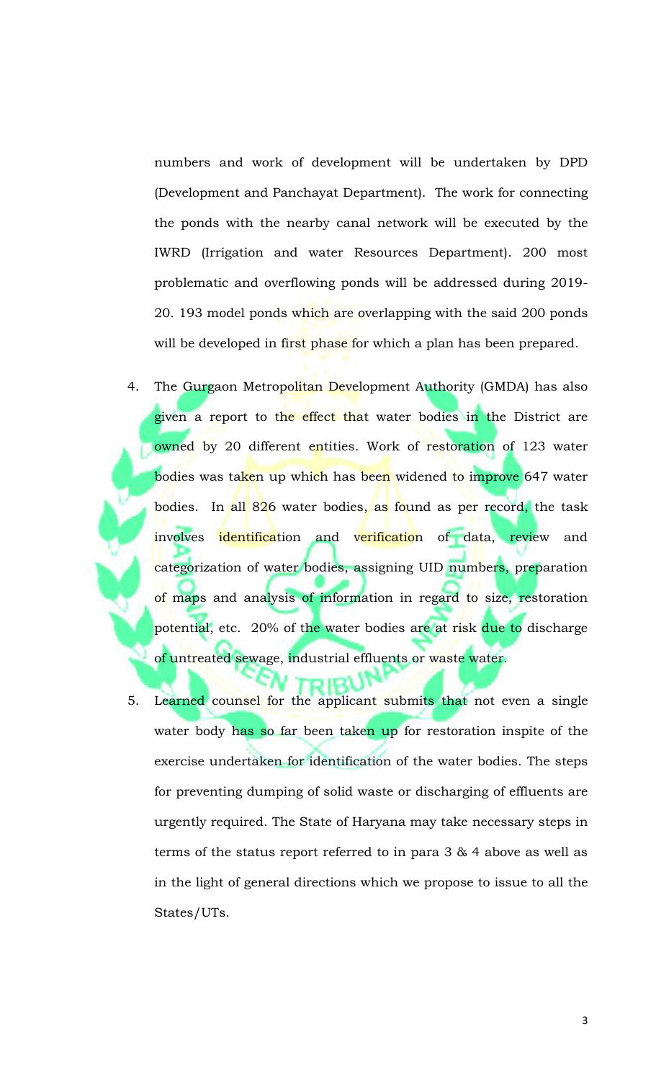numbers and work of development will be undertaken by DPD (Development and Panchayat Department). The work for connecting the ponds with the nearby canal network will be executed by the IWRD (Irrigation and water Resources Department). 200 most problematic and overflowing ponds will be addressed during 2019- 20. 193 model ponds which are overlapping with the said 200 ponds will be developed in first phase for which a plan has been prepared.

- 4. The Gurgaon Metropolitan Development Authority (GMDA) has also given a report to the effect that water bodies in the District are owned by 20 different entities. Work of restoration of 123 water bodies was ta<mark>ken up which</mark> has been widened to improve 647 water bodies. In all 826 water bodies, as found as per record, the task involves identification and verification of data, review and categorization of water bodies, assigning UID numbers, preparation of maps and analysis of information in regard to size, restoration potential, etc. 20% of the water bodies are at risk due to discharge o<mark>f untreated sewage, industrial effluents or waste water.</mark>
- 5. Learned counsel for the applicant submits that not even a single water body has so far been taken up for restoration inspite of the exercise undertaken for identification of the water bodies. The steps for preventing dumping of solid waste or discharging of effluents are urgently required. The State of Haryana may take necessary steps in terms of the status report referred to in para 3 & 4 above as well as in the light of general directions which we propose to issue to all the States/UTs.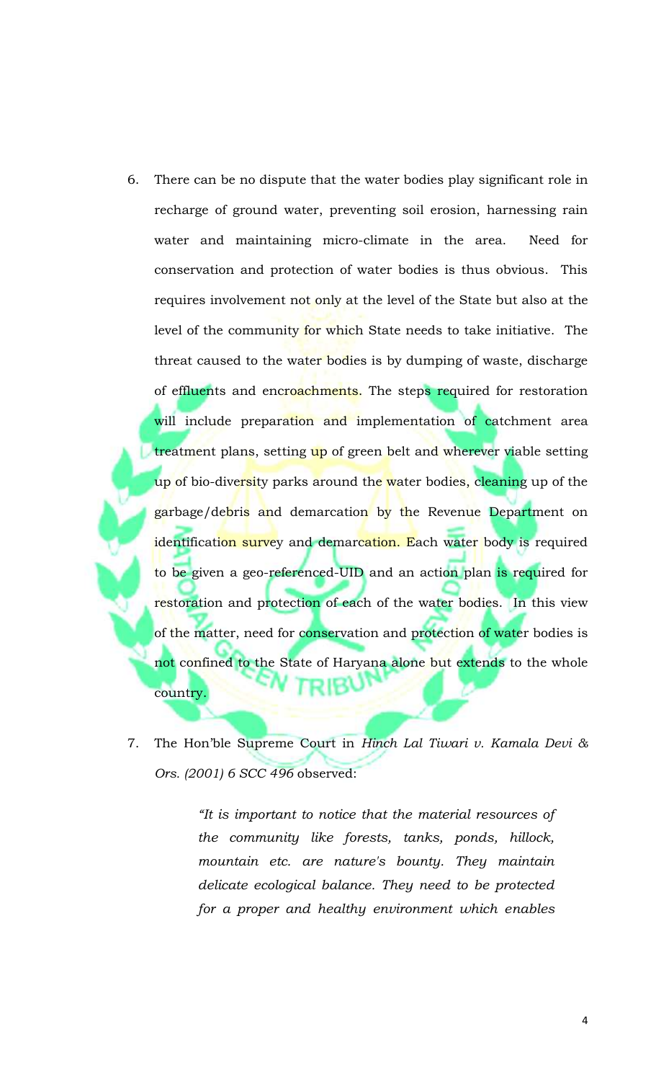- 6. There can be no dispute that the water bodies play significant role in recharge of ground water, preventing soil erosion, harnessing rain water and maintaining micro-climate in the area. Need for conservation and protection of water bodies is thus obvious. This requires involvement not only at the level of the State but also at the level of the community for which State needs to take initiative. The threat caused to the water bodies is by dumping of waste, discharge of effluents and encroachments. The steps required for restoration will include preparation and implementation of catchment area treatment plans, setting up of green belt and wherever viable setting up of bio-diversity parks around the water bodies, cleaning up of the garbage/debris and demarcation by the Revenue Department on identification survey and demarcation. Each water body is required to be given a geo-referenced-UID and an action plan is required for restoration and protection of each of the water bodies. In this view of the matter, need for conservation and protection of water bodies is not confined to the State of Haryana alone but extends to the whole country.
- 7. The Hon'ble Supreme Court in *Hinch Lal Tiwari v. Kamala Devi & Ors. (2001) 6 SCC 496* observed:

*"It is important to notice that the material resources of the community like forests, tanks, ponds, hillock, mountain etc. are nature's bounty. They maintain delicate ecological balance. They need to be protected for a proper and healthy environment which enables*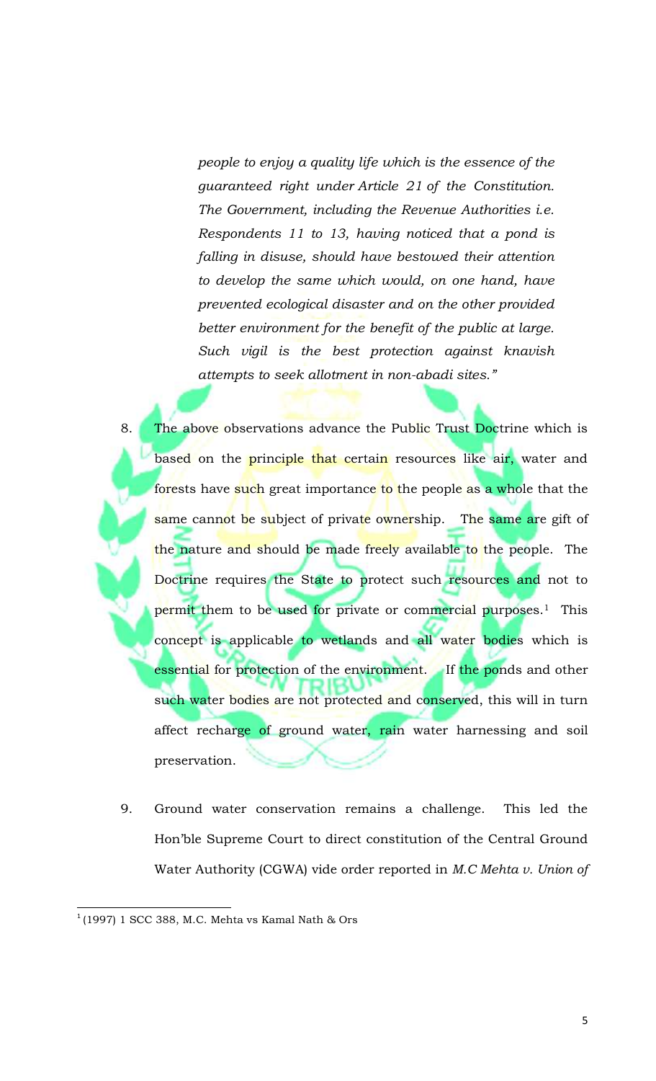*people to enjoy a quality life which is the essence of the guaranteed right under [Article 21](https://indiankanoon.org/doc/1199182/) of the Constitution. The Government, including the Revenue Authorities i.e. Respondents 11 to 13, having noticed that a pond is falling in disuse, should have bestowed their attention to develop the same which would, on one hand, have prevented ecological disaster and on the other provided better environment for the benefit of the public at large. Such vigil is the best protection against knavish attempts to seek allotment in non-abadi sites."*

- 8. The above observations advance the Public Trust Doctrine which is based on the principle that certain resources like air, water and forests have such great importance to the people as a whole that the same cannot be subject of private ownership. The same are gift of the nature and should be made freely available to the people. The Doctrine requires the State to protect such resources and not to permit them to be used for private or commercial purposes.<sup>1</sup> This concept is applicable to wetlands and all water bodies which is essential for protection of the environment. If the ponds and other such water bodies are not protected and conserved, this will in turn affect recharge of ground water, rain water harnessing and soil preservation.
- 9. Ground water conservation remains a challenge. This led the Hon'ble Supreme Court to direct constitution of the Central Ground Water Authority (CGWA) vide order reported in *M.C Mehta v. Union of*

 $\overline{\phantom{a}}$ 

 $^1$ (1997) 1 SCC 388, M.C. Mehta vs Kamal Nath & Ors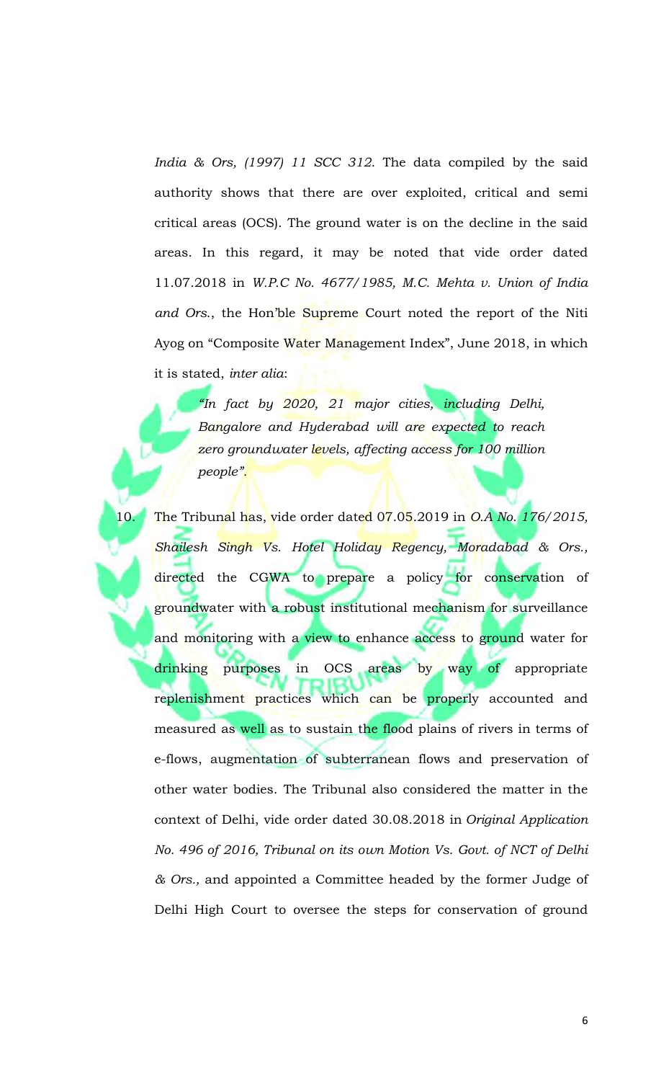*India & Ors, (1997) 11 SCC 312*. The data compiled by the said authority shows that there are over exploited, critical and semi critical areas (OCS). The ground water is on the decline in the said areas. In this regard, it may be noted that vide order dated 11.07.2018 in *W.P.C No. 4677/1985, M.C. Mehta v. Union of India and Ors*., the Hon'ble Supreme Court noted the report of the Niti Ayog on "Composite Water Management Index", June 2018, in which it is stated, *inter alia*:

*"In fact by 2020, 21 major cities, including Delhi, Bangalore and Hyderabad will are expected to reach zero groundwater levels, affecting access for 100 million people".*

10. The Tribunal has, vide order dated 07.05.2019 in *O.A No. 176/2015, Shailesh Singh Vs. Hotel Holiday Regency, Moradabad & Ors.,* directed the CGWA to prepare a policy for conservation of groundwater with a robust institutional mechanism for surveillance and monitoring with a view to enhance access to ground water for drinking purposes in OCS areas by way of appropriate replenishment practices which can be properly accounted and measured as well as to sustain the flood plains of rivers in terms of e-flows, augmentation of subterranean flows and preservation of other water bodies. The Tribunal also considered the matter in the context of Delhi, vide order dated 30.08.2018 in *Original Application No. 496 of 2016, Tribunal on its own Motion Vs. Govt. of NCT of Delhi & Ors.,* and appointed a Committee headed by the former Judge of Delhi High Court to oversee the steps for conservation of ground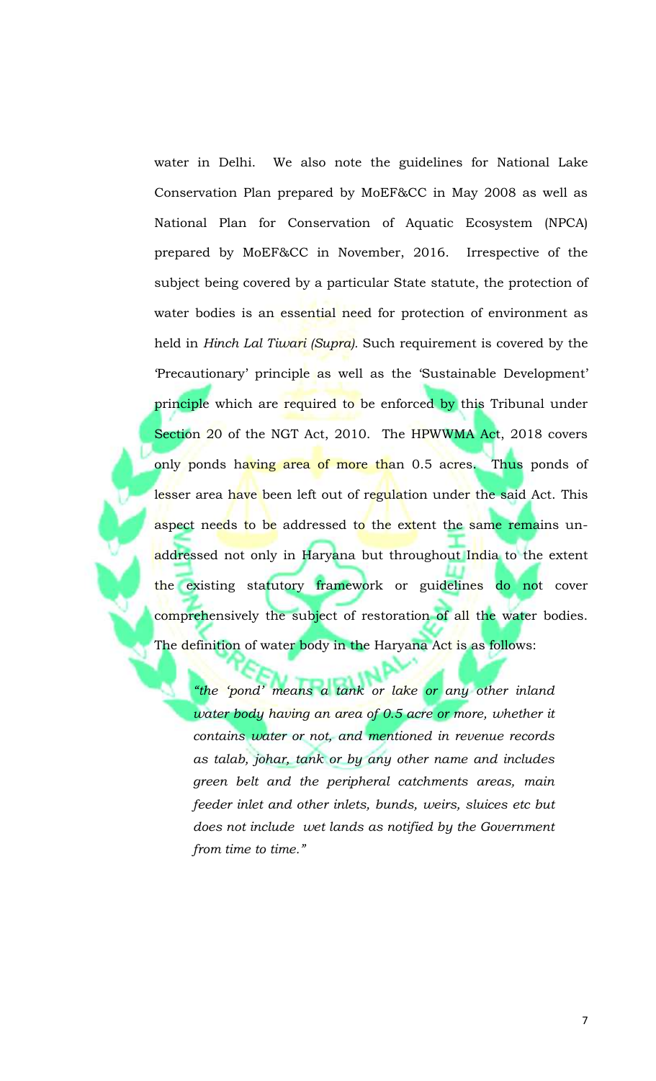water in Delhi. We also note the guidelines for National Lake Conservation Plan prepared by MoEF&CC in May 2008 as well as National Plan for Conservation of Aquatic Ecosystem (NPCA) prepared by MoEF&CC in November, 2016. Irrespective of the subject being covered by a particular State statute, the protection of water bodies is an essential need for protection of environment as held in *Hinch Lal Tiwari (Supra).* Such requirement is covered by the 'Precautionary' principle as well as the 'Sustainable Development' principle which are required to be enforced by this Tribunal under Section 20 of the NGT Act, 2010. The HPWWMA Act, 2018 covers only ponds having area of more than 0.5 acres. Thus ponds of lesser area have been left out of regulation under the said Act. This aspect needs to be addressed to the extent the same remains unaddressed not only in Haryana but throughout India to the extent the existing statutory framework or guidelines do not cover comprehensively the subject of restoration of all the water bodies. The definition of water body in the Haryana Act is as follows:

*"the 'pond' means a tank or lake or any other inland water body having an area of 0.5 acre or more, whether it contains water or not, and mentioned in revenue records as talab, johar, tank or by any other name and includes green belt and the peripheral catchments areas, main feeder inlet and other inlets, bunds, weirs, sluices etc but does not include wet lands as notified by the Government from time to time."*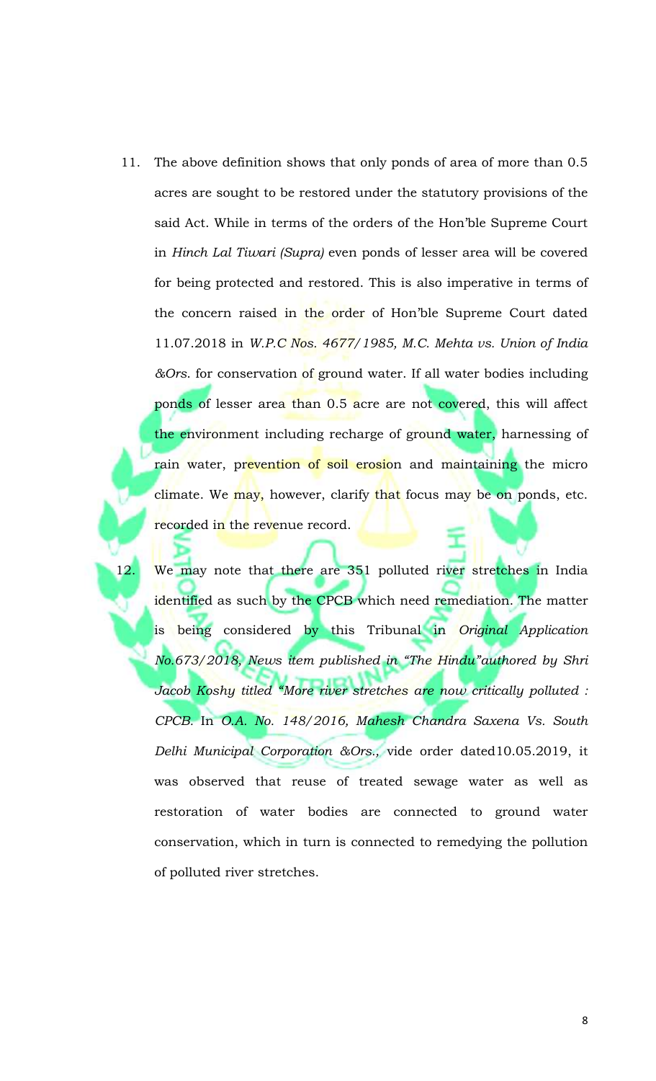- 11. The above definition shows that only ponds of area of more than 0.5 acres are sought to be restored under the statutory provisions of the said Act. While in terms of the orders of the Hon'ble Supreme Court in *Hinch Lal Tiwari (Supra)* even ponds of lesser area will be covered for being protected and restored. This is also imperative in terms of the concern raised in the order of Hon'ble Supreme Court dated 11.07.2018 in *W.P.C Nos. 4677/1985, M.C. Mehta vs. Union of India &Ors*. for conservation of ground water. If all water bodies including ponds of lesser area than 0.5 acre are not covered, this will affect the environment including recharge of ground water, harnessing of rain water, prevention of soil erosion and maintaining the micro climate. We may, however, clarify that focus may be on ponds, etc. recorded in the revenue record.
- 12. We may note that there are 351 polluted river stretches in India identified as such by the CPCB which need remediation. The matter is being considered by this Tribunal in *Original Application No.673/2018, News item published in "The Hindu"authored by Shri Jacob Koshy titled "More river stretches are now critically polluted : CPCB.* In *O.A. No. 148/2016, Mahesh Chandra Saxena Vs. South Delhi Municipal Corporation &Ors.,* vide order dated10.05.2019, it was observed that reuse of treated sewage water as well as restoration of water bodies are connected to ground water conservation, which in turn is connected to remedying the pollution of polluted river stretches.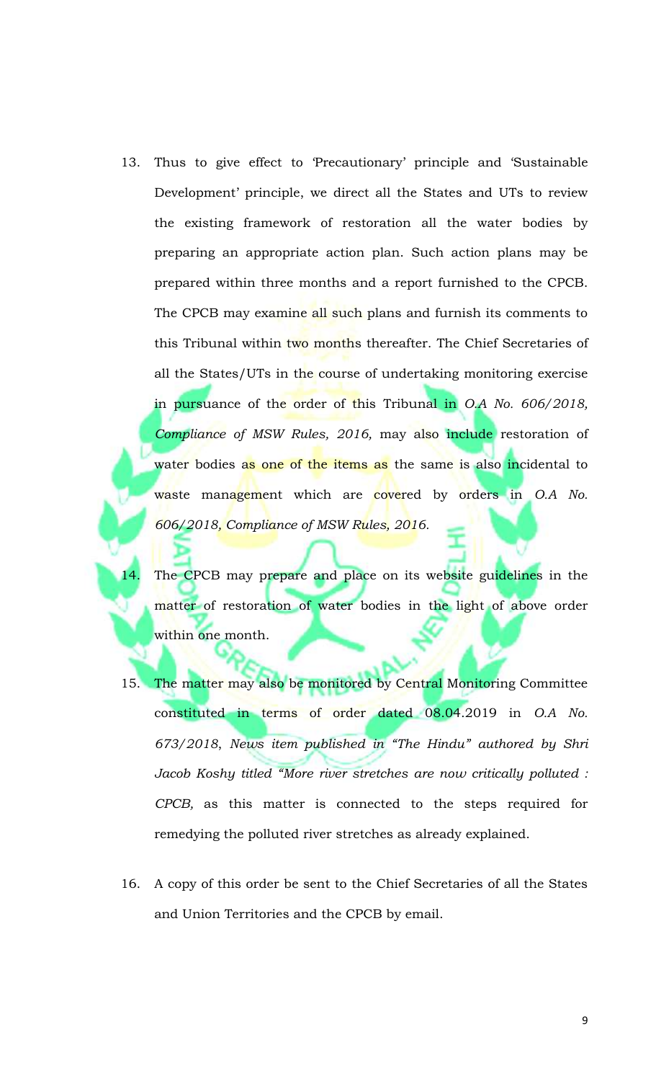- 13. Thus to give effect to 'Precautionary' principle and 'Sustainable Development' principle, we direct all the States and UTs to review the existing framework of restoration all the water bodies by preparing an appropriate action plan. Such action plans may be prepared within three months and a report furnished to the CPCB. The CPCB may examine all such plans and furnish its comments to this Tribunal within two months thereafter. The Chief Secretaries of all the States/UTs in the course of undertaking monitoring exercise in pursuance of the order of this Tribunal in *O.A No. 606/2018, Compliance of MSW Rules, 2016,* may also include restoration of water bodies as one of the items as the same is also incidental to waste management which are covered by orders in *O.A No. 606/2018, Compliance of MSW Rules, 2016.*
- 14. The CPCB may prepare and place on its website guidelines in the matter of restoration of water bodies in the light of above order within one month.
- 15. The matter may also be monitored by Central Monitoring Committee constituted in terms of order dated 08.04.2019 in *O.A No. 673/2018*, *News item published in "The Hindu" authored by Shri Jacob Koshy titled "More river stretches are now critically polluted : CPCB,* as this matter is connected to the steps required for remedying the polluted river stretches as already explained.
- 16. A copy of this order be sent to the Chief Secretaries of all the States and Union Territories and the CPCB by email.